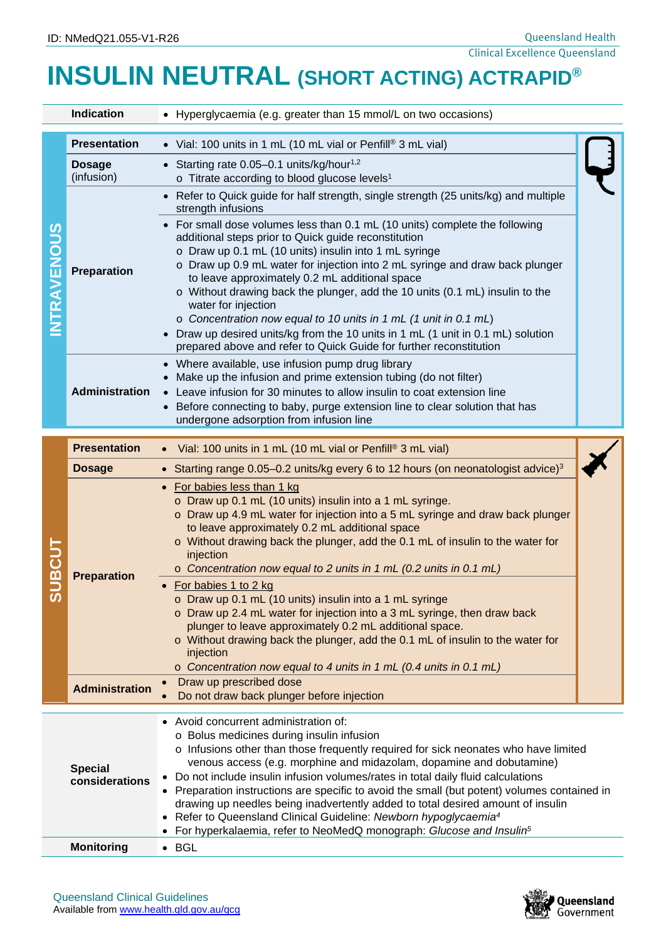# **INSULIN NEUTRAL (SHORT ACTING) ACTRAPID®**

| <b>Indication</b>                |                             | • Hyperglycaemia (e.g. greater than 15 mmol/L on two occasions)                                                                                                                                                                                                                                                                                                                                                                                                                                                                                                                                                                                                                                                                                                                                                  |  |
|----------------------------------|-----------------------------|------------------------------------------------------------------------------------------------------------------------------------------------------------------------------------------------------------------------------------------------------------------------------------------------------------------------------------------------------------------------------------------------------------------------------------------------------------------------------------------------------------------------------------------------------------------------------------------------------------------------------------------------------------------------------------------------------------------------------------------------------------------------------------------------------------------|--|
| NTRAVENOUS                       | <b>Presentation</b>         | • Vial: 100 units in 1 mL (10 mL vial or Penfill® 3 mL vial)                                                                                                                                                                                                                                                                                                                                                                                                                                                                                                                                                                                                                                                                                                                                                     |  |
|                                  | <b>Dosage</b><br>(infusion) | • Starting rate $0.05-0.1$ units/kg/hour <sup>1,2</sup><br>o Titrate according to blood glucose levels <sup>1</sup>                                                                                                                                                                                                                                                                                                                                                                                                                                                                                                                                                                                                                                                                                              |  |
|                                  |                             | • Refer to Quick guide for half strength, single strength (25 units/kg) and multiple<br>strength infusions                                                                                                                                                                                                                                                                                                                                                                                                                                                                                                                                                                                                                                                                                                       |  |
|                                  | Preparation                 | • For small dose volumes less than 0.1 mL (10 units) complete the following<br>additional steps prior to Quick guide reconstitution<br>o Draw up 0.1 mL (10 units) insulin into 1 mL syringe<br>o Draw up 0.9 mL water for injection into 2 mL syringe and draw back plunger<br>to leave approximately 0.2 mL additional space<br>o Without drawing back the plunger, add the 10 units (0.1 mL) insulin to the<br>water for injection<br>o Concentration now equal to 10 units in 1 mL (1 unit in 0.1 mL)<br>• Draw up desired units/kg from the 10 units in 1 mL (1 unit in 0.1 mL) solution<br>prepared above and refer to Quick Guide for further reconstitution                                                                                                                                              |  |
|                                  | <b>Administration</b>       | • Where available, use infusion pump drug library<br>Make up the infusion and prime extension tubing (do not filter)<br>Leave infusion for 30 minutes to allow insulin to coat extension line<br>Before connecting to baby, purge extension line to clear solution that has<br>undergone adsorption from infusion line                                                                                                                                                                                                                                                                                                                                                                                                                                                                                           |  |
|                                  | <b>Presentation</b>         | Vial: 100 units in 1 mL (10 mL vial or Penfill® 3 mL vial)                                                                                                                                                                                                                                                                                                                                                                                                                                                                                                                                                                                                                                                                                                                                                       |  |
|                                  | <b>Dosage</b>               | Starting range 0.05-0.2 units/kg every 6 to 12 hours (on neonatologist advice) <sup>3</sup><br>$\bullet$                                                                                                                                                                                                                                                                                                                                                                                                                                                                                                                                                                                                                                                                                                         |  |
| <b>SUBCUT</b>                    | <b>Preparation</b>          | For babies less than 1 kg<br>$\bullet$<br>o Draw up 0.1 mL (10 units) insulin into a 1 mL syringe.<br>o Draw up 4.9 mL water for injection into a 5 mL syringe and draw back plunger<br>to leave approximately 0.2 mL additional space<br>o Without drawing back the plunger, add the 0.1 mL of insulin to the water for<br>injection<br>o Concentration now equal to 2 units in 1 mL (0.2 units in 0.1 mL)<br>For babies 1 to 2 kg<br>o Draw up 0.1 mL (10 units) insulin into a 1 mL syringe<br>o Draw up 2.4 mL water for injection into a 3 mL syringe, then draw back<br>plunger to leave approximately 0.2 mL additional space.<br>o Without drawing back the plunger, add the 0.1 mL of insulin to the water for<br>injection<br>$\circ$ Concentration now equal to 4 units in 1 mL (0.4 units in 0.1 mL) |  |
|                                  | <b>Administration</b>       | Draw up prescribed dose<br>$\bullet$<br>Do not draw back plunger before injection                                                                                                                                                                                                                                                                                                                                                                                                                                                                                                                                                                                                                                                                                                                                |  |
| <b>Special</b><br>considerations |                             | Avoid concurrent administration of:<br>o Bolus medicines during insulin infusion<br>$\circ$ Infusions other than those frequently required for sick neonates who have limited<br>venous access (e.g. morphine and midazolam, dopamine and dobutamine)<br>Do not include insulin infusion volumes/rates in total daily fluid calculations<br>Preparation instructions are specific to avoid the small (but potent) volumes contained in<br>drawing up needles being inadvertently added to total desired amount of insulin<br>Refer to Queensland Clinical Guideline: Newborn hypoglycaemia <sup>4</sup><br>For hyperkalaemia, refer to NeoMedQ monograph: Glucose and Insulin <sup>5</sup><br>$\bullet$                                                                                                          |  |
| <b>Monitoring</b>                |                             | $\bullet$ BGL                                                                                                                                                                                                                                                                                                                                                                                                                                                                                                                                                                                                                                                                                                                                                                                                    |  |

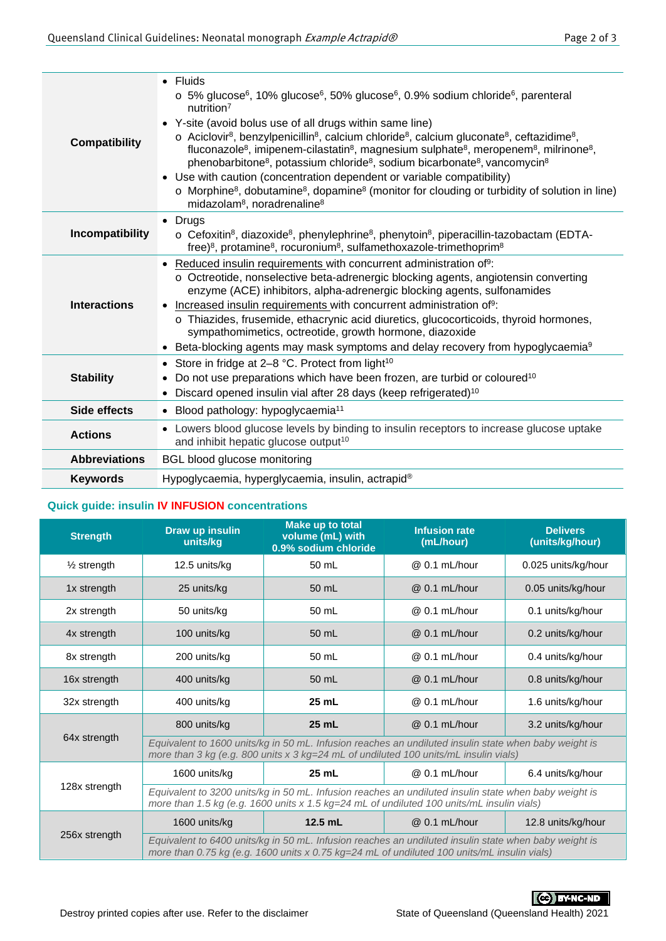| <b>Compatibility</b> | $\bullet$ Fluids<br>$\circ$ 5% glucose <sup>6</sup> , 10% glucose <sup>6</sup> , 50% glucose <sup>6</sup> , 0.9% sodium chloride <sup>6</sup> , parenteral<br>nutrition <sup>7</sup><br>• Y-site (avoid bolus use of all drugs within same line)<br>$\circ$ Aciclovir <sup>8</sup> , benzylpenicillin <sup>8</sup> , calcium chloride <sup>8</sup> , calcium gluconate <sup>8</sup> , ceftazidime <sup>8</sup> ,<br>fluconazole <sup>8</sup> , imipenem-cilastatin <sup>8</sup> , magnesium sulphate <sup>8</sup> , meropenem <sup>8</sup> , milrinone <sup>8</sup> ,<br>phenobarbitone <sup>8</sup> , potassium chloride <sup>8</sup> , sodium bicarbonate <sup>8</sup> , vancomycin <sup>8</sup><br>• Use with caution (concentration dependent or variable compatibility)<br>o Morphine <sup>8</sup> , dobutamine <sup>8</sup> , dopamine <sup>8</sup> (monitor for clouding or turbidity of solution in line)<br>midazolam <sup>8</sup> , noradrenaline <sup>8</sup> |  |
|----------------------|--------------------------------------------------------------------------------------------------------------------------------------------------------------------------------------------------------------------------------------------------------------------------------------------------------------------------------------------------------------------------------------------------------------------------------------------------------------------------------------------------------------------------------------------------------------------------------------------------------------------------------------------------------------------------------------------------------------------------------------------------------------------------------------------------------------------------------------------------------------------------------------------------------------------------------------------------------------------------|--|
| Incompatibility      | Drugs<br>$\bullet$<br>o Cefoxitin <sup>8</sup> , diazoxide <sup>8</sup> , phenylephrine <sup>8</sup> , phenytoin <sup>8</sup> , piperacillin-tazobactam (EDTA-<br>free) <sup>8</sup> , protamine <sup>8</sup> , rocuronium <sup>8</sup> , sulfamethoxazole-trimethoprim <sup>8</sup>                                                                                                                                                                                                                                                                                                                                                                                                                                                                                                                                                                                                                                                                                     |  |
| <b>Interactions</b>  | Reduced insulin requirements with concurrent administration of <sup>9</sup> :<br>○ Octreotide, nonselective beta-adrenergic blocking agents, angiotensin converting<br>enzyme (ACE) inhibitors, alpha-adrenergic blocking agents, sulfonamides<br>Increased insulin requirements with concurrent administration of <sup>9</sup> :<br>$\bullet$<br>o Thiazides, frusemide, ethacrynic acid diuretics, glucocorticoids, thyroid hormones,<br>sympathomimetics, octreotide, growth hormone, diazoxide<br>Beta-blocking agents may mask symptoms and delay recovery from hypoglycaemia <sup>9</sup><br>$\bullet$                                                                                                                                                                                                                                                                                                                                                             |  |
| <b>Stability</b>     | Store in fridge at 2–8 °C. Protect from light <sup>10</sup><br>$\bullet$<br>Do not use preparations which have been frozen, are turbid or coloured <sup>10</sup><br>Discard opened insulin vial after 28 days (keep refrigerated) <sup>10</sup>                                                                                                                                                                                                                                                                                                                                                                                                                                                                                                                                                                                                                                                                                                                          |  |
| Side effects         | • Blood pathology: hypoglycaemia <sup>11</sup>                                                                                                                                                                                                                                                                                                                                                                                                                                                                                                                                                                                                                                                                                                                                                                                                                                                                                                                           |  |
| <b>Actions</b>       | • Lowers blood glucose levels by binding to insulin receptors to increase glucose uptake<br>and inhibit hepatic glucose output <sup>10</sup>                                                                                                                                                                                                                                                                                                                                                                                                                                                                                                                                                                                                                                                                                                                                                                                                                             |  |
| <b>Abbreviations</b> | <b>BGL blood glucose monitoring</b>                                                                                                                                                                                                                                                                                                                                                                                                                                                                                                                                                                                                                                                                                                                                                                                                                                                                                                                                      |  |
| <b>Keywords</b>      | Hypoglycaemia, hyperglycaemia, insulin, actrapid <sup>®</sup>                                                                                                                                                                                                                                                                                                                                                                                                                                                                                                                                                                                                                                                                                                                                                                                                                                                                                                            |  |
|                      |                                                                                                                                                                                                                                                                                                                                                                                                                                                                                                                                                                                                                                                                                                                                                                                                                                                                                                                                                                          |  |

## **Quick guide: insulin IV INFUSION concentrations**

| Draw up insulin<br><b>Strength</b><br>units/kg |                                                                                                                                                                                                      | Make up to total<br>volume (mL) with<br>0.9% sodium chloride | <b>Infusion rate</b><br>(mL/hour) | <b>Delivers</b><br>(units/kg/hour) |  |
|------------------------------------------------|------------------------------------------------------------------------------------------------------------------------------------------------------------------------------------------------------|--------------------------------------------------------------|-----------------------------------|------------------------------------|--|
| $\frac{1}{2}$ strength                         | 12.5 units/kg                                                                                                                                                                                        | 50 mL                                                        | @ 0.1 mL/hour                     | 0.025 units/kg/hour                |  |
| 1x strength                                    | 25 units/kg                                                                                                                                                                                          |                                                              | @ 0.1 mL/hour                     | 0.05 units/kg/hour                 |  |
| 2x strength                                    | 50 units/kg                                                                                                                                                                                          | 50 mL                                                        | @ 0.1 mL/hour                     | 0.1 units/kg/hour                  |  |
| 4x strength                                    | 100 units/kg                                                                                                                                                                                         | 50 mL                                                        | @ 0.1 mL/hour                     | 0.2 units/kg/hour                  |  |
| 8x strength                                    | 200 units/kg                                                                                                                                                                                         | 50 mL                                                        | @ 0.1 mL/hour                     | 0.4 units/kg/hour                  |  |
| 16x strength                                   | 400 units/kg                                                                                                                                                                                         | 50 mL                                                        | @ 0.1 mL/hour                     | 0.8 units/kg/hour                  |  |
| 32x strength                                   | 400 units/kg                                                                                                                                                                                         | 25 mL                                                        | @ 0.1 mL/hour                     | 1.6 units/kg/hour                  |  |
|                                                | 800 units/kg                                                                                                                                                                                         | 25 mL                                                        | @ 0.1 mL/hour                     | 3.2 units/kg/hour                  |  |
| 64x strength                                   | Equivalent to 1600 units/kg in 50 mL. Infusion reaches an undiluted insulin state when baby weight is<br>more than 3 kg (e.g. 800 units x 3 kg=24 mL of undiluted 100 units/mL insulin vials)        |                                                              |                                   |                                    |  |
|                                                | 1600 units/kg                                                                                                                                                                                        | 25 mL                                                        | @ 0.1 mL/hour                     | 6.4 units/kg/hour                  |  |
| 128x strength                                  | Equivalent to 3200 units/kg in 50 mL. Infusion reaches an undiluted insulin state when baby weight is<br>more than 1.5 kg (e.g. 1600 units x 1.5 kg=24 mL of undiluted 100 units/mL insulin vials)   |                                                              |                                   |                                    |  |
|                                                | 1600 units/kg                                                                                                                                                                                        | $12.5$ mL                                                    | @ 0.1 mL/hour                     | 12.8 units/kg/hour                 |  |
| 256x strength                                  | Equivalent to 6400 units/kg in 50 mL. Infusion reaches an undiluted insulin state when baby weight is<br>more than 0.75 kg (e.g. 1600 units x 0.75 kg=24 mL of undiluted 100 units/mL insulin vials) |                                                              |                                   |                                    |  |



CC BY-NC-ND